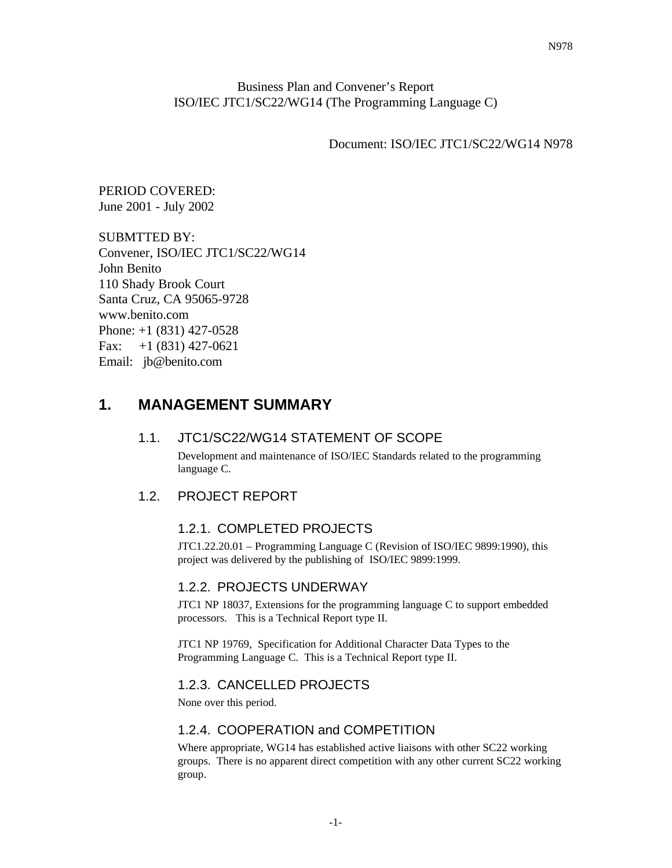#### Business Plan and Convener's Report ISO/IEC JTC1/SC22/WG14 (The Programming Language C)

Document: ISO/IEC JTC1/SC22/WG14 N978

PERIOD COVERED: June 2001 - July 2002

SUBMTTED BY: Convener, ISO/IEC JTC1/SC22/WG14 John Benito 110 Shady Brook Court Santa Cruz, CA 95065-9728 www.benito.com Phone: +1 (831) 427-0528 Fax:  $+1$  (831) 427-0621 Email: jb@benito.com

# **1. MANAGEMENT SUMMARY**

### 1.1. JTC1/SC22/WG14 STATEMENT OF SCOPE

Development and maintenance of ISO/IEC Standards related to the programming language C.

#### 1.2. PROJECT REPORT

#### 1.2.1. COMPLETED PROJECTS

JTC1.22.20.01 – Programming Language C (Revision of ISO/IEC 9899:1990), this project was delivered by the publishing of ISO/IEC 9899:1999.

### 1.2.2. PROJECTS UNDERWAY

JTC1 NP 18037, Extensions for the programming language C to support embedded processors. This is a Technical Report type II.

JTC1 NP 19769, Specification for Additional Character Data Types to the Programming Language C. This is a Technical Report type II.

#### 1.2.3. CANCELLED PROJECTS

None over this period.

#### 1.2.4. COOPERATION and COMPETITION

Where appropriate, WG14 has established active liaisons with other SC22 working groups. There is no apparent direct competition with any other current SC22 working group.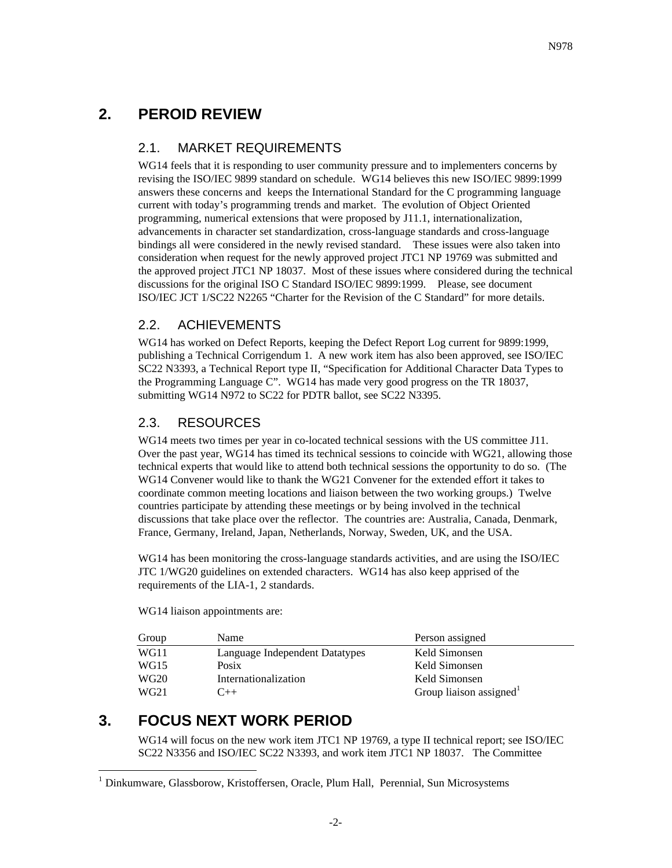# **2. PEROID REVIEW**

#### 2.1. MARKET REQUIREMENTS

WG14 feels that it is responding to user community pressure and to implementers concerns by revising the ISO/IEC 9899 standard on schedule. WG14 believes this new ISO/IEC 9899:1999 answers these concerns and keeps the International Standard for the C programming language current with today's programming trends and market. The evolution of Object Oriented programming, numerical extensions that were proposed by J11.1, internationalization, advancements in character set standardization, cross-language standards and cross-language bindings all were considered in the newly revised standard. These issues were also taken into consideration when request for the newly approved project JTC1 NP 19769 was submitted and the approved project JTC1 NP 18037. Most of these issues where considered during the technical discussions for the original ISO C Standard ISO/IEC 9899:1999. Please, see document ISO/IEC JCT 1/SC22 N2265 "Charter for the Revision of the C Standard" for more details.

### 2.2. ACHIEVEMENTS

WG14 has worked on Defect Reports, keeping the Defect Report Log current for 9899:1999, publishing a Technical Corrigendum 1. A new work item has also been approved, see ISO/IEC SC22 N3393, a Technical Report type II, "Specification for Additional Character Data Types to the Programming Language C". WG14 has made very good progress on the TR 18037, submitting WG14 N972 to SC22 for PDTR ballot, see SC22 N3395.

## 2.3. RESOURCES

WG14 meets two times per year in co-located technical sessions with the US committee J11. Over the past year, WG14 has timed its technical sessions to coincide with WG21, allowing those technical experts that would like to attend both technical sessions the opportunity to do so. (The WG14 Convener would like to thank the WG21 Convener for the extended effort it takes to coordinate common meeting locations and liaison between the two working groups.) Twelve countries participate by attending these meetings or by being involved in the technical discussions that take place over the reflector. The countries are: Australia, Canada, Denmark, France, Germany, Ireland, Japan, Netherlands, Norway, Sweden, UK, and the USA.

WG14 has been monitoring the cross-language standards activities, and are using the ISO/IEC JTC 1/WG20 guidelines on extended characters. WG14 has also keep apprised of the requirements of the LIA-1, 2 standards.

WG14 liaison appointments are:

| Group            | Name                           | Person assigned                     |
|------------------|--------------------------------|-------------------------------------|
| WG11             | Language Independent Datatypes | Keld Simonsen                       |
| WG15             | Posix                          | Keld Simonsen                       |
| WG <sub>20</sub> | Internationalization           | Keld Simonsen                       |
| WG <sub>21</sub> | $+$                            | Group liaison assigned <sup>1</sup> |

# **3. FOCUS NEXT WORK PERIOD**

 $\overline{a}$ 

WG14 will focus on the new work item JTC1 NP 19769, a type II technical report; see ISO/IEC SC22 N3356 and ISO/IEC SC22 N3393, and work item JTC1 NP 18037. The Committee

<sup>&</sup>lt;sup>1</sup> Dinkumware, Glassborow, Kristoffersen, Oracle, Plum Hall, Perennial, Sun Microsystems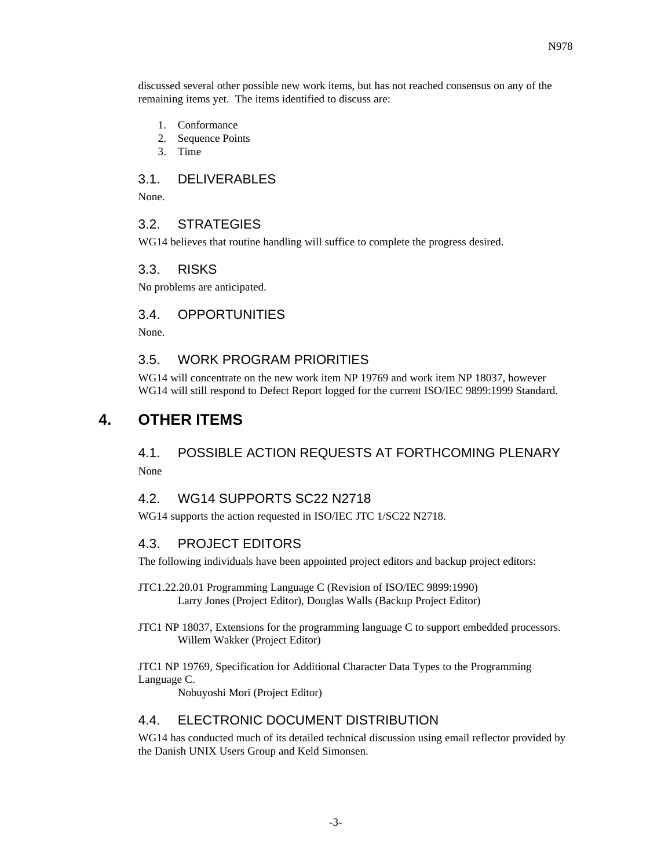discussed several other possible new work items, but has not reached consensus on any of the remaining items yet. The items identified to discuss are:

- 1. Conformance
- 2. Sequence Points
- 3. Time

#### 3.1. DELIVERABLES

None.

#### 3.2. STRATEGIES

WG14 believes that routine handling will suffice to complete the progress desired.

#### 3.3. RISKS

No problems are anticipated.

#### 3.4. OPPORTUNITIES

None.

#### 3.5. WORK PROGRAM PRIORITIES

WG14 will concentrate on the new work item NP 19769 and work item NP 18037, however WG14 will still respond to Defect Report logged for the current ISO/IEC 9899:1999 Standard.

## **4. OTHER ITEMS**

## 4.1. POSSIBLE ACTION REQUESTS AT FORTHCOMING PLENARY None

#### 4.2. WG14 SUPPORTS SC22 N2718

WG14 supports the action requested in ISO/IEC JTC 1/SC22 N2718.

#### 4.3. PROJECT EDITORS

The following individuals have been appointed project editors and backup project editors:

- JTC1.22.20.01 Programming Language C (Revision of ISO/IEC 9899:1990) Larry Jones (Project Editor), Douglas Walls (Backup Project Editor)
- JTC1 NP 18037, Extensions for the programming language C to support embedded processors. Willem Wakker (Project Editor)

JTC1 NP 19769, Specification for Additional Character Data Types to the Programming Language C.

Nobuyoshi Mori (Project Editor)

#### 4.4. ELECTRONIC DOCUMENT DISTRIBUTION

WG14 has conducted much of its detailed technical discussion using email reflector provided by the Danish UNIX Users Group and Keld Simonsen.